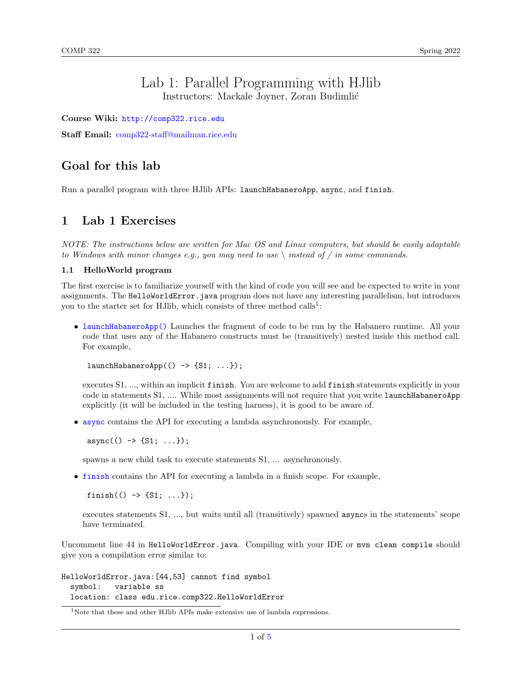## Lab 1: Parallel Programming with HJlib Instructors: Mackale Joyner, Zoran Budimlić

Course Wiki: <http://comp322.rice.edu>

Staff Email: [comp322-staff@mailman.rice.edu](mailto:comp322-staff@mailman.rice.edu)

## Goal for this lab

Run a parallel program with three HJlib APIs: launchHabaneroApp, async, and finish.

### 1 Lab 1 Exercises

NOTE: The instructions below are written for Mac OS and Linux computers, but should be easily adaptable to Windows with minor changes e.g., you may need to use  $\setminus$  instead of / in some commands.

#### 1.1 HelloWorld program

The first exercise is to familiarize yourself with the kind of code you will see and be expected to write in your assignments. The HelloWorldError.java program does not have any interesting parallelism, but introduces you to the starter set for HJlib, which consists of three method calls<sup>[1](#page-0-0)</sup>:

• [launchHabaneroApp\(\)](http://www.cs.rice.edu/~vs3/hjlib/doc/edu/rice/hj/Module0.html#launchHabaneroApp-edu.rice.hj.api.HjSuspendable-) Launches the fragment of code to be run by the Habanero runtime. All your code that uses any of the Habanero constructs must be (transitively) nested inside this method call. For example,

 $l$ aunchHabaneroApp $(() \rightarrow {S1}; ...);$ 

executes S1, ..., within an implicit finish. You are welcome to add finish statements explicitly in your code in statements S1, .... While most assignments will not require that you write launchHabaneroApp explicitly (it will be included in the testing harness), it is good to be aware of.

• [async](http://www.cs.rice.edu/~vs3/hjlib/doc/edu/rice/hj/Module1.html#async-edu.rice.hj.api.HjSuspendable-) contains the API for executing a lambda asynchronously. For example,

 $async(() \rightarrow {S1; ...}$ ;

spawns a new child task to execute statements S1, ... asynchronously.

• [finish](http://www.cs.rice.edu/~vs3/hjlib/doc/edu/rice/hj/Module0.html#finish-edu.rice.hj.api.HjSuspendable-) contains the API for executing a lambda in a finish scope. For example,

finish(()  $\rightarrow$  {S1; ...});

executes statements S1, ..., but waits until all (transitively) spawned asyncs in the statements' scope have terminated.

Uncomment line 44 in HelloWorldError.java. Compiling with your IDE or mvn clean compile should give you a compilation error similar to:

HelloWorldError.java:[44,53] cannot find symbol symbol: variable ss location: class edu.rice.comp322.HelloWorldError

<span id="page-0-0"></span><sup>&</sup>lt;sup>1</sup>Note that these and other HJlib APIs make extensive use of lambda expressions.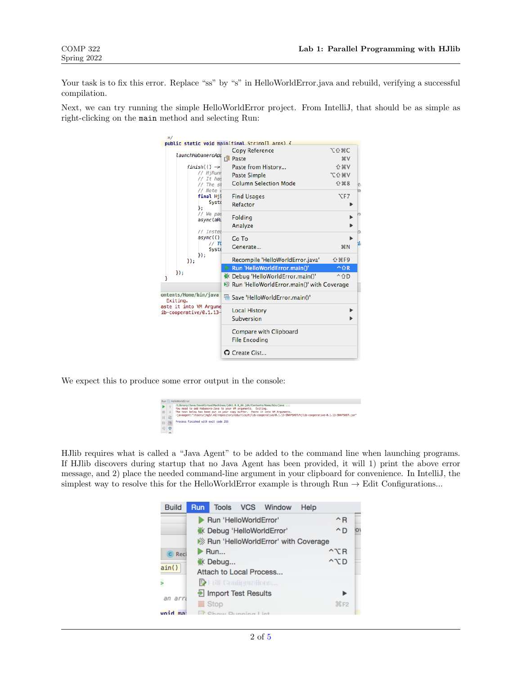Your task is to fix this error. Replace "ss" by "s" in HelloWorldError.java and rebuild, verifying a successful compilation.

Next, we can try running the simple HelloWorldError project. From IntelliJ, that should be as simple as right-clicking on the main method and selecting Run:



We expect this to produce some error output in the console:

|    |       |   | Run HelloWorldError                                                                                                                      |
|----|-------|---|------------------------------------------------------------------------------------------------------------------------------------------|
|    |       |   | /Library/Java/JavaVirtualMachines/idk1.8.0 66.idk/Contents/Home/bin/iava<br>You need to add Habanero-Java to your VM arguments. Exiting. |
|    | $-11$ |   | The text below has been put in your copy buffer. Paste it into VM Arguments.                                                             |
| Ш  |       | 震 | -javaagent:"/Users/jmg3/.m2/repository/edu/rice/hjlib-cooperative/0.1.13-SNAPSHOT/hjlib-cooperative-0.1.13-SNAPSHOT.jar"                 |
| 18 |       |   | Process finished with exit code 255                                                                                                      |
|    |       | 局 |                                                                                                                                          |

HJlib requires what is called a "Java Agent" to be added to the command line when launching programs. If HJlib discovers during startup that no Java Agent has been provided, it will 1) print the above error message, and 2) place the needed command-line argument in your clipboard for convenience. In IntelliJ, the simplest way to resolve this for the HelloWorldError example is through Run  $\rightarrow$  Edit Configurations...

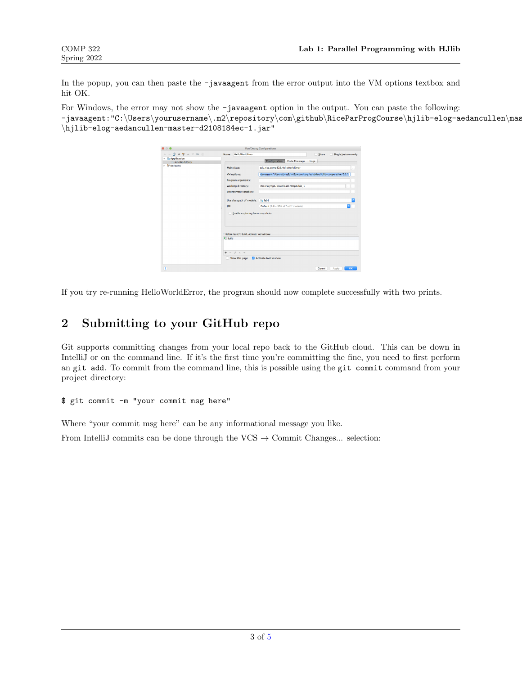In the popup, you can then paste the -javaagent from the error output into the VM options textbox and hit OK.

For Windows, the error may not show the -javaagent option in the output. You can paste the following: -javaagent:"C:\Users\yourusername\.m2\repository\com\github\RiceParProgCourse\hjlib-elog-aedancullen\mas \hjlib-elog-aedancullen-master-d2108184ec-1.jar"

| $\Omega$                                                   |                                        |                                                                                                                                                                           | Run/Debug Configurations                                                                                                                                                                            |                                                    |
|------------------------------------------------------------|----------------------------------------|---------------------------------------------------------------------------------------------------------------------------------------------------------------------------|-----------------------------------------------------------------------------------------------------------------------------------------------------------------------------------------------------|----------------------------------------------------|
| 田 99 人 マ 田 明<br>面<br><b>Application</b><br>HelloWorldError | Name:                                  | HelloWorldError                                                                                                                                                           | Configuration<br><b>Code Coverage</b>                                                                                                                                                               | Share<br>Single instance only<br>Logs              |
| $\triangleright$ $\frac{Q}{r}$ Defaults                    | IRE:                                   | Main class:<br>VM options:<br>Program arguments:<br>Working directory:<br><b>Environment variables:</b><br>Use classpath of module:<br>Enable capturing form snapshots    | edu.rice.comp322.HelloWorldError<br>-javaagent:"/Users/jmg3/.m2/repository/edu/rice/hjlib-cooperative/0.1.1<br>/Users/jmg3/Downloads/tmp2/lab_1<br>$  $ ab1<br>Default (1.8 - SDK of 'lab1' module) | $\sim$<br>$\sim$<br>$\sim$<br><br>$\sim$<br>ō<br>Ð |
|                                                            | <b>4% Build</b><br>$\ddot{}$<br>$\sim$ | * Before launch: Build, Activate tool window<br>$\mathcal{L}% _{0}\left( t\right) \sim\mathcal{L}_{0}\left( t\right)$<br>$\mathcal{A}$<br>$\mathcal{A}$<br>Show this page | Activate tool window                                                                                                                                                                                |                                                    |
| $\left( 2\right)$                                          |                                        |                                                                                                                                                                           |                                                                                                                                                                                                     | OK<br>Cancel<br>Apply                              |

If you try re-running HelloWorldError, the program should now complete successfully with two prints.

# 2 Submitting to your GitHub repo

Git supports committing changes from your local repo back to the GitHub cloud. This can be down in IntelliJ or on the command line. If it's the first time you're committing the fine, you need to first perform an git add. To commit from the command line, this is possible using the git commit command from your project directory:

#### \$ git commit -m "your commit msg here"

Where "your commit msg here" can be any informational message you like.

From IntelliJ commits can be done through the  $VCS \rightarrow$  Commit Changes... selection: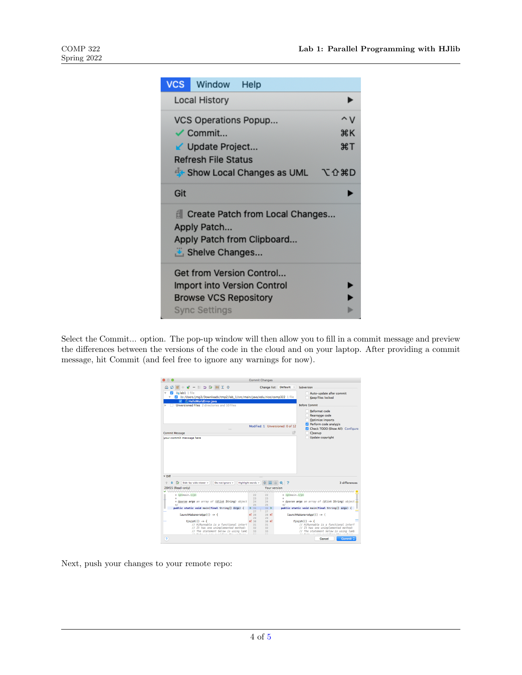| <b>VCS</b> | Window                                               | Help                                                           |          |
|------------|------------------------------------------------------|----------------------------------------------------------------|----------|
|            | <b>Local History</b>                                 |                                                                |          |
|            | VCS Operations Popup                                 |                                                                | ∧v       |
|            | $\checkmark$ Commit                                  |                                                                | жĸ<br>æт |
|            | √ Update Project<br><b>Refresh File Status</b>       |                                                                |          |
|            |                                                      | <b>T</b> Show Local Changes as UML                             | て仓まD     |
| Git        |                                                      |                                                                |          |
|            | Apply Patch<br>Shelve Changes                        | Create Patch from Local Changes<br>Apply Patch from Clipboard  |          |
|            | <b>Browse VCS Repository</b><br><b>Sync Settings</b> | Get from Version Control<br><b>Import into Version Control</b> |          |

Select the Commit... option. The pop-up window will then allow you to fill in a commit message and preview the differences between the versions of the code in the cloud and on your laptop. After providing a commit message, hit Commit (and feel free to ignore any warnings for now).

|                                                                          |                   | <b>Commit Changes</b>            |    |                                                 |
|--------------------------------------------------------------------------|-------------------|----------------------------------|----|-------------------------------------------------|
| $- E 5 3 2 2 2$                                                          |                   | Change list: Default ©           |    | Subversion                                      |
| linlab1 1 file                                                           |                   |                                  |    | Auto-update after commit                        |
| I /Users/jmg3/Downloads/tmp2/lab_1/src/main/java/edu/rice/comp322 1 file |                   |                                  |    | <b>Keep files locked</b>                        |
| / HelloWorldError.java                                                   |                   |                                  |    |                                                 |
| Unversioned Files 2 directories and 10 files                             |                   |                                  |    | <b>Refore Commit</b>                            |
|                                                                          |                   |                                  |    |                                                 |
|                                                                          |                   |                                  |    | <b>Reformat code</b>                            |
|                                                                          |                   |                                  |    | Rearrange code                                  |
|                                                                          |                   |                                  |    | Optimize imports                                |
|                                                                          |                   | Modified: 1 Unversioned: 0 of 12 |    | Perform code analysis                           |
|                                                                          |                   |                                  |    | Check TODO (Show All) Configure                 |
| <b>Commit Message</b>                                                    |                   |                                  |    | 13<br>Cleanup                                   |
| your commit message here                                                 |                   |                                  |    | <b>Update copyright</b>                         |
|                                                                          |                   |                                  |    |                                                 |
|                                                                          |                   |                                  |    |                                                 |
|                                                                          |                   |                                  |    |                                                 |
|                                                                          |                   |                                  |    |                                                 |
|                                                                          |                   |                                  |    |                                                 |
|                                                                          |                   |                                  |    |                                                 |
|                                                                          |                   |                                  |    |                                                 |
|                                                                          |                   |                                  |    |                                                 |
|                                                                          |                   |                                  |    |                                                 |
|                                                                          |                   |                                  |    |                                                 |
|                                                                          |                   |                                  |    |                                                 |
|                                                                          |                   |                                  |    |                                                 |
|                                                                          |                   |                                  |    |                                                 |
| $\nabla$ Diff                                                            |                   |                                  |    |                                                 |
|                                                                          |                   |                                  |    |                                                 |
| Side-by-side viewer +<br>Do not ignore +                                 | Highlight words + |                                  |    | <b>3 differences</b>                            |
| 28455 (Read-only)                                                        |                   | Your version                     |    |                                                 |
|                                                                          |                   |                                  |    | ,,,,,,,,,,,,,,,,,                               |
| * <p>main.</p>                                                           | 22                | 22                               | ж  | <p>main.</p>                                    |
| ×                                                                        | 23                | 23                               | Ń. |                                                 |
| * @param args an array of {@link String} object                          | 24                | 24                               |    | * @param args an array of {@link String} object |
| s/                                                                       | 25                | 25                               | жI |                                                 |
| public static void main(final String[] Args) {                           | 26                | 26                               |    | public static void main(final String[] args) {  |
|                                                                          | 27                | 27                               |    |                                                 |
| $laurchHabaneroApp(() \rightarrow$                                       | 5128              | 28 ef                            |    | launchHabaneroApp(() -> {                       |
|                                                                          | 29                | 29                               |    |                                                 |
| $f\text{inish}() \rightarrow \{$                                         | 8130              | 30 <sub>8</sub>                  |    | $f\text{inish}() \rightarrow \{$                |
| // HiRunnable is a functional interf                                     | 31                | 31                               |    | // HiRunnable is a functional interf            |
| // It has one unimplemented method:                                      | 32                | 32                               |    | // It has one unimplemented method:             |
| // The statement below is using lamb                                     | 33                | 33                               |    | // The statement below is using lamb            |
|                                                                          | $\sim$ $\sim$     | $\sim$ 4                         |    |                                                 |
| $\overline{2}$                                                           |                   |                                  |    | Cancel<br>Commit C                              |

Next, push your changes to your remote repo: